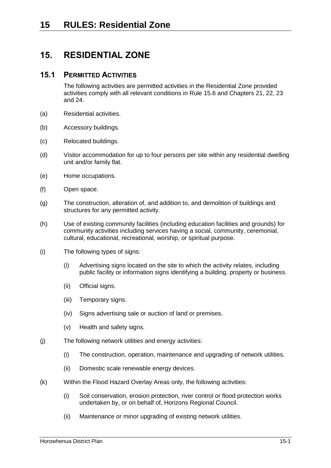# **15. RESIDENTIAL ZONE**

## **15.1 PERMITTED ACTIVITIES**

The following activities are permitted activities in the Residential Zone provided activities comply with all relevant conditions in Rule [15.6](#page-5-0) and Chapters 21, 22, 23 and 24.

- (a) Residential activities.
- (b) Accessory buildings.
- (c) Relocated buildings.
- (d) Visitor accommodation for up to four persons per site within any residential dwelling unit and/or family flat.
- (e) Home occupations.
- (f) Open space.
- (g) The construction, alteration of, and addition to, and demolition of buildings and structures for any permitted activity.
- (h) Use of existing community facilities (including education facilities and grounds) for community activities including services having a social, community, ceremonial, cultural, educational, recreational, worship, or spiritual purpose.
- (i) The following types of signs:
	- (i) Advertising signs located on the site to which the activity relates, including public facility or information signs identifying a building, property or business.
	- (ii) Official signs.
	- (iii) Temporary signs.
	- (iv) Signs advertising sale or auction of land or premises.
	- (v) Health and safety signs.
- <span id="page-0-0"></span>(j) The following network utilities and energy activities:
	- (i) The construction, operation, maintenance and upgrading of network utilities.
	- (ii) Domestic scale renewable energy devices.
- (k) Within the Flood Hazard Overlay Areas only, the following activities:
	- (i) Soil conservation, erosion protection, river control or flood protection works undertaken by, or on behalf of, Horizons Regional Council.
	- (ii) Maintenance or minor upgrading of existing network utilities.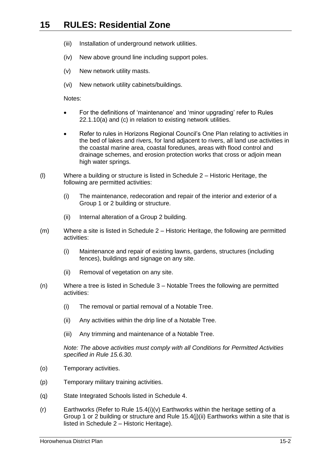- (iii) Installation of underground network utilities.
- (iv) New above ground line including support poles.
- (v) New network utility masts.
- (vi) New network utility cabinets/buildings.

Notes:

- For the definitions of 'maintenance' and 'minor upgrading' refer to Rules 22.1.10(a) and (c) in relation to existing network utilities.
- Refer to rules in Horizons Regional Council's One Plan relating to activities in the bed of lakes and rivers, for land adjacent to rivers, all land use activities in the coastal marine area, coastal foredunes, areas with flood control and drainage schemes, and erosion protection works that cross or adjoin mean high water springs.
- (l) Where a building or structure is listed in Schedule 2 Historic Heritage, the following are permitted activities:
	- (i) The maintenance, redecoration and repair of the interior and exterior of a Group 1 or 2 building or structure.
	- (ii) Internal alteration of a Group 2 building.
- (m) Where a site is listed in Schedule 2 Historic Heritage, the following are permitted activities:
	- (i) Maintenance and repair of existing lawns, gardens, structures (including fences), buildings and signage on any site.
	- (ii) Removal of vegetation on any site.
- (n) Where a tree is listed in Schedule 3 Notable Trees the following are permitted activities:
	- (i) The removal or partial removal of a Notable Tree.
	- (ii) Any activities within the drip line of a Notable Tree.
	- (iii) Any trimming and maintenance of a Notable Tree.

*Note: The above activities must comply with all Conditions for Permitted Activities specified in Rule [15.6.30.](#page-13-0)*

- (o) Temporary activities.
- (p) Temporary military training activities.
- (q) State Integrated Schools listed in Schedule 4.
- (r) Earthworks (Refer to Rule [15.4\(i\)\(v\)](#page-4-0) Earthworks within the heritage setting of a Group 1 or 2 building or structure and Rule [15.4\(j\)\(ii\)](#page-5-1) Earthworks within a site that is listed in Schedule 2 – Historic Heritage).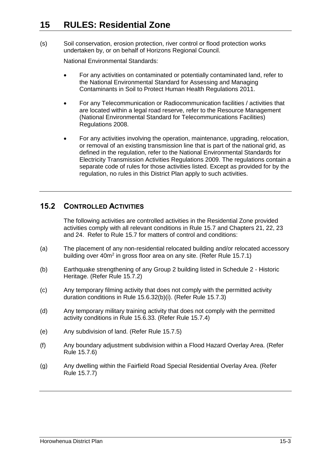(s) Soil conservation, erosion protection, river control or flood protection works undertaken by, or on behalf of Horizons Regional Council.

National Environmental Standards:

- For any activities on contaminated or potentially contaminated land, refer to the National Environmental Standard for Assessing and Managing Contaminants in Soil to Protect Human Health Regulations 2011.
- For any Telecommunication or Radiocommunication facilities / activities that are located within a legal road reserve, refer to the Resource Management (National Environmental Standard for Telecommunications Facilities) Regulations 2008.
- For any activities involving the operation, maintenance, upgrading, relocation, or removal of an existing transmission line that is part of the national grid, as defined in the regulation, refer to the National Environmental Standards for Electricity Transmission Activities Regulations 2009. The regulations contain a separate code of rules for those activities listed. Except as provided for by the regulation, no rules in this District Plan apply to such activities.

# **15.2 CONTROLLED ACTIVITIES**

The following activities are controlled activities in the Residential Zone provided activities comply with all relevant conditions in Rule [15.7](#page-17-0) and Chapters 21, 22, 23 and 24. Refer to Rule [15.7](#page-17-0) for matters of control and conditions:

- <span id="page-2-1"></span>(a) The placement of any non-residential relocated building and/or relocated accessory building over 40m<sup>2</sup> in gross floor area on any site. (Refer Rule [15.7.1\)](#page-17-1)
- <span id="page-2-2"></span>(b) Earthquake strengthening of any Group 2 building listed in Schedule 2 - Historic Heritage. (Refer Rule [15.7.2\)](#page-18-0)
- <span id="page-2-3"></span>(c) Any temporary filming activity that does not comply with the permitted activity duration conditions in Rule [15.6.32\(b\)\(i\).](#page-14-0) (Refer Rule [15.7.3\)](#page-18-1)
- <span id="page-2-4"></span>(d) Any temporary military training activity that does not comply with the permitted activity conditions in Rule [15.6.33.](#page-15-0) (Refer Rule [15.7.4\)](#page-19-0)
- <span id="page-2-5"></span>(e) Any subdivision of land. (Refer Rule [15.7.5\)](#page-19-1)
- <span id="page-2-6"></span><span id="page-2-0"></span>(f) Any boundary adjustment subdivision within a Flood Hazard Overlay Area. (Refer Rule [15.7.6\)](#page-23-0)
- <span id="page-2-7"></span>(g) Any dwelling within the Fairfield Road Special Residential Overlay Area. (Refer Rule [15.7.7\)](#page-23-1)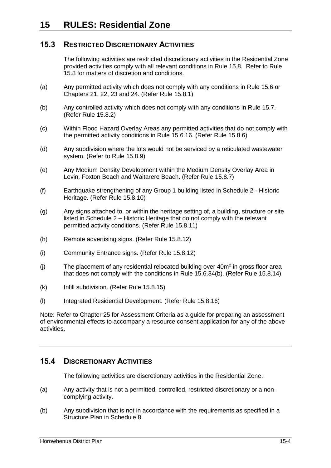# **15.3 RESTRICTED DISCRETIONARY ACTIVITIES**

The following activities are restricted discretionary activities in the Residential Zone provided activities comply with all relevant conditions in Rule [15.8.](#page-23-2) Refer to Rule [15.8](#page-23-2) for matters of discretion and conditions.

- <span id="page-3-0"></span>(a) Any permitted activity which does not comply with any conditions in Rule [15.6](#page-5-0) or Chapters 21, 22, 23 and 24. (Refer Rule [15.8.1\)](#page-24-0)
- <span id="page-3-1"></span>(b) Any controlled activity which does not comply with any conditions in Rule [15.7.](#page-17-0) (Refer Rule [15.8.2\)](#page-24-1)
- <span id="page-3-2"></span>(c) Within Flood Hazard Overlay Areas any permitted activities that do not comply with the permitted activity conditions in Rule [15.6.16.](#page-10-0) (Refer Rule [15.8.6\)](#page-25-0)
- <span id="page-3-3"></span>(d) Any subdivision where the lots would not be serviced by a reticulated wastewater system. (Refer to Rule [15.8.9\)](#page-28-0)
- (e) Any Medium Density Development within the Medium Density Overlay Area in Levin, Foxton Beach and Waitarere Beach. (Refer Rule [15.8.7\)](#page-25-1)
- <span id="page-3-4"></span>(f) Earthquake strengthening of any Group 1 building listed in Schedule 2 - Historic Heritage. (Refer Rule [15.8.10\)](#page-28-1)
- <span id="page-3-5"></span>(g) Any signs attached to, or within the heritage setting of, a building, structure or site listed in Schedule 2 – Historic Heritage that do not comply with the relevant permitted activity conditions. (Refer Rule [15.8.11\)](#page-28-2)
- <span id="page-3-6"></span>(h) Remote advertising signs. (Refer Rule [15.8.12\)](#page-28-3)
- <span id="page-3-7"></span>(i) Community Entrance signs. (Refer Rule [15.8.12\)](#page-28-3)
- <span id="page-3-8"></span> $(j)$  The placement of any residential relocated building over  $40m^2$  in gross floor area that does not comply with the conditions in Rule [15.6.34\(b\).](#page-16-0) (Refer Rule [15.8.14\)](#page-29-0)
- (k) Infill subdivision. (Refer Rule 15.8.15)
- (l) Integrated Residential Development. (Refer Rule 15.8.16)

Note: Refer to Chapter 25 for Assessment Criteria as a guide for preparing an assessment of environmental effects to accompany a resource consent application for any of the above activities.

## **15.4 DISCRETIONARY ACTIVITIES**

The following activities are discretionary activities in the Residential Zone:

- (a) Any activity that is not a permitted, controlled, restricted discretionary or a noncomplying activity.
- (b) Any subdivision that is not in accordance with the requirements as specified in a Structure Plan in Schedule 8.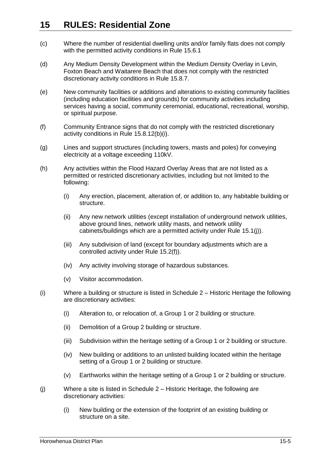- (c) Where the number of residential dwelling units and/or family flats does not comply with the permitted activity conditions in Rule 15.6.1
- (d) Any Medium Density Development within the Medium Density Overlay in Levin, Foxton Beach and Waitarere Beach that does not comply with the restricted discretionary activity conditions in Rule [15.8.7.](#page-25-1)
- (e) New community facilities or additions and alterations to existing community facilities (including education facilities and grounds) for community activities including services having a social, community ceremonial, educational, recreational, worship, or spiritual purpose.
- (f) Community Entrance signs that do not comply with the restricted discretionary activity conditions in Rule [15.8.12\(b\)\(i\).](#page-29-1)
- (g) Lines and support structures (including towers, masts and poles) for conveying electricity at a voltage exceeding 110kV.
- (h) Any activities within the Flood Hazard Overlay Areas that are not listed as a permitted or restricted discretionary activities, including but not limited to the following:
	- (i) Any erection, placement, alteration of, or addition to, any habitable building or structure.
	- (ii) Any new network utilities (except installation of underground network utilities, above ground lines, network utility masts, and network utility cabinets/buildings which are a permitted activity under Rule [15.1\(j\)\)](#page-0-0).
	- (iii) Any subdivision of land (except for boundary adjustments which are a controlled activity under Rule [15.2\(f\)\)](#page-2-0).
	- (iv) Any activity involving storage of hazardous substances.
	- (v) Visitor accommodation.
- (i) Where a building or structure is listed in Schedule 2 Historic Heritage the following are discretionary activities:
	- (i) Alteration to, or relocation of, a Group 1 or 2 building or structure.
	- (ii) Demolition of a Group 2 building or structure.
	- (iii) Subdivision within the heritage setting of a Group 1 or 2 building or structure.
	- (iv) New building or additions to an unlisted building located within the heritage setting of a Group 1 or 2 building or structure.
	- (v) Earthworks within the heritage setting of a Group 1 or 2 building or structure.
- <span id="page-4-0"></span>(j) Where a site is listed in Schedule 2 – Historic Heritage, the following are discretionary activities:
	- (i) New building or the extension of the footprint of an existing building or structure on a site.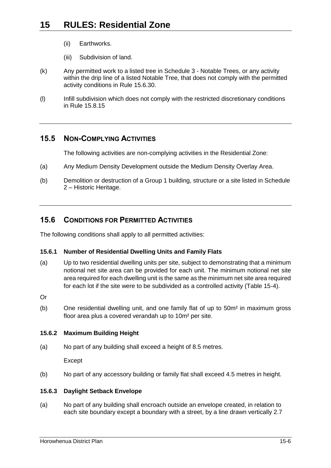- <span id="page-5-1"></span>(ii) Earthworks.
- (iii) Subdivision of land.
- (k) Any permitted work to a listed tree in Schedule 3 Notable Trees, or any activity within the drip line of a listed Notable Tree, that does not comply with the permitted activity conditions in Rule [15.6.30.](#page-13-0)
- (l) Infill subdivision which does not comply with the restricted discretionary conditions in Rule 15.8.15

# **15.5 NON-COMPLYING ACTIVITIES**

The following activities are non-complying activities in the Residential Zone:

- (a) Any Medium Density Development outside the Medium Density Overlay Area.
- (b) Demolition or destruction of a Group 1 building, structure or a site listed in Schedule 2 – Historic Heritage.

# <span id="page-5-0"></span>**15.6 CONDITIONS FOR PERMITTED ACTIVITIES**

The following conditions shall apply to all permitted activities:

## **15.6.1 Number of Residential Dwelling Units and Family Flats**

- <span id="page-5-2"></span>(a) Up to two residential dwelling units per site, subject to demonstrating that a minimum notional net site area can be provided for each unit. The minimum notional net site area required for each dwelling unit is the same as the minimum net site area required for each lot if the site were to be subdivided as a controlled activity (Table 15-4).
- Or
- (b) One residential dwelling unit, and one family flat of up to 50m² in maximum gross floor area plus a covered verandah up to 10m² per site.

### **15.6.2 Maximum Building Height**

(a) No part of any building shall exceed a height of 8.5 metres.

Except

(b) No part of any accessory building or family flat shall exceed 4.5 metres in height.

### **15.6.3 Daylight Setback Envelope**

(a) No part of any building shall encroach outside an envelope created, in relation to each site boundary except a boundary with a street, by a line drawn vertically 2.7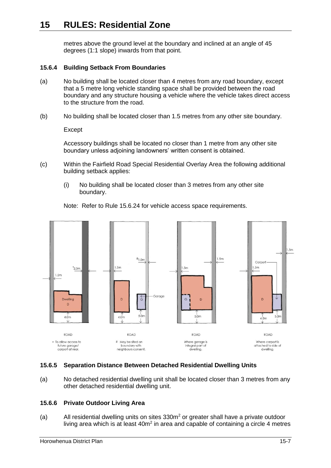metres above the ground level at the boundary and inclined at an angle of 45 degrees (1:1 slope) inwards from that point.

### **15.6.4 Building Setback From Boundaries**

- <span id="page-6-0"></span>(a) No building shall be located closer than 4 metres from any road boundary, except that a 5 metre long vehicle standing space shall be provided between the road boundary and any structure housing a vehicle where the vehicle takes direct access to the structure from the road.
- (b) No building shall be located closer than 1.5 metres from any other site boundary.

Except

Accessory buildings shall be located no closer than 1 metre from any other site boundary unless adjoining landowners' written consent is obtained.

- (c) Within the Fairfield Road Special Residential Overlay Area the following additional building setback applies:
	- (i) No building shall be located closer than 3 metres from any other site boundary.

Note: Refer to Rule [15.6.24](#page-11-0) for vehicle access space requirements.



### **15.6.5 Separation Distance Between Detached Residential Dwelling Units**

(a) No detached residential dwelling unit shall be located closer than 3 metres from any other detached residential dwelling unit.

### **15.6.6 Private Outdoor Living Area**

(a) All residential dwelling units on sites  $330m<sup>2</sup>$  or greater shall have a private outdoor living area which is at least  $40m^2$  in area and capable of containing a circle 4 metres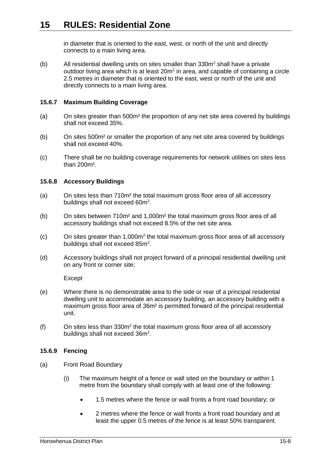in diameter that is oriented to the east, west, or north of the unit and directly connects to a main living area.

(b) All residential dwelling units on sites smaller than  $330m^2$  shall have a private outdoor living area which is at least  $20m^2$  in area, and capable of containing a circle 2.5 metres in diameter that is oriented to the east, west or north of the unit and directly connects to a main living area.

#### <span id="page-7-0"></span>**15.6.7 Maximum Building Coverage**

- (a) On sites greater than 500m² the proportion of any net site area covered by buildings shall not exceed 35%.
- (b) On sites 500m² or smaller the proportion of any net site area covered by buildings shall not exceed 40%.
- (c) There shall be no building coverage requirements for network utilities on sites less than 200m².

#### **15.6.8 Accessory Buildings**

- (a) On sites less than 710m² the total maximum gross floor area of all accessory buildings shall not exceed 60m<sup>2</sup>.
- (b) On sites between 710m² and 1,000m² the total maximum gross floor area of all accessory buildings shall not exceed 8.5% of the net site area.
- $(c)$  On sites greater than 1,000 $m<sup>2</sup>$  the total maximum gross floor area of all accessory buildings shall not exceed  $85m^2$ .
- (d) Accessory buildings shall not project forward of a principal residential dwelling unit on any front or corner site;

Except

- (e) Where there is no demonstrable area to the side or rear of a principal residential dwelling unit to accommodate an accessory building, an accessory building with a maximum gross floor area of 36m² is permitted forward of the principal residential unit.
- (f) On sites less than  $330m^2$  the total maximum gross floor area of all accessory buildings shall not exceed 36m<sup>2</sup>.

#### <span id="page-7-1"></span>**15.6.9 Fencing**

- (a) Front Road Boundary
	- (i) The maximum height of a fence or wall sited on the boundary or within 1 metre from the boundary shall comply with at least one of the following:
		- 1.5 metres where the fence or wall fronts a front road boundary; or
		- 2 metres where the fence or wall fronts a front road boundary and at least the upper 0.5 metres of the fence is at least 50% transparent.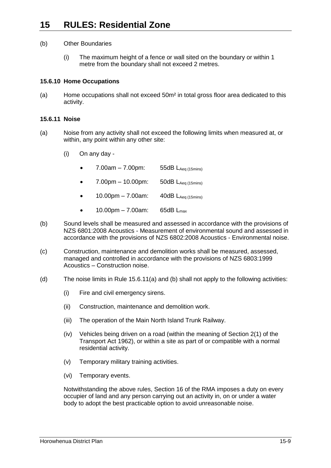- (b) Other Boundaries
	- (i) The maximum height of a fence or wall sited on the boundary or within 1 metre from the boundary shall not exceed 2 metres.

#### <span id="page-8-2"></span>**15.6.10 Home Occupations**

(a) Home occupations shall not exceed 50m² in total gross floor area dedicated to this activity.

#### **15.6.11 Noise**

- <span id="page-8-0"></span>(a) Noise from any activity shall not exceed the following limits when measured at, or within, any point within any other site:
	- (i) On any day
		- 7.00am 7.00pm: 55dB  $L_{Aea (15min s)}$
		- 7.00pm 10.00pm: 50dB  $L_{Aea (15min s)}$
		- $10.00 \text{pm} 7.00 \text{am}$ :  $40 \text{dB}$  L<sub>Aeq (15mins)</sub>
		- $10.00 \text{pm} 7.00 \text{am}$ : 65dB  $L_{\text{max}}$
- <span id="page-8-1"></span>(b) Sound levels shall be measured and assessed in accordance with the provisions of NZS 6801:2008 Acoustics - Measurement of environmental sound and assessed in accordance with the provisions of NZS 6802:2008 Acoustics - Environmental noise.
- (c) Construction, maintenance and demolition works shall be measured, assessed, managed and controlled in accordance with the provisions of NZS 6803:1999 Acoustics – Construction noise.
- (d) The noise limits in Rule [15.6.11\(a\)](#page-8-0) and [\(b\)](#page-8-1) shall not apply to the following activities:
	- (i) Fire and civil emergency sirens.
	- (ii) Construction, maintenance and demolition work.
	- (iii) The operation of the Main North Island Trunk Railway.
	- (iv) Vehicles being driven on a road (within the meaning of Section 2(1) of the Transport Act 1962), or within a site as part of or compatible with a normal residential activity.
	- (v) Temporary military training activities.
	- (vi) Temporary events.

Notwithstanding the above rules, Section 16 of the RMA imposes a duty on every occupier of land and any person carrying out an activity in, on or under a water body to adopt the best practicable option to avoid unreasonable noise.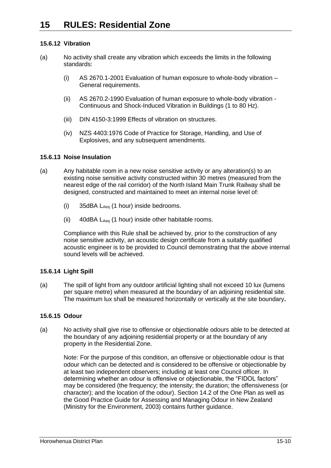## **15.6.12 Vibration**

- (a) No activity shall create any vibration which exceeds the limits in the following standards:
	- (i) AS 2670.1-2001 Evaluation of human exposure to whole-body vibration General requirements.
	- (ii) AS 2670.2-1990 Evaluation of human exposure to whole-body vibration Continuous and Shock-Induced Vibration in Buildings (1 to 80 Hz).
	- (iii) DIN 4150-3:1999 Effects of vibration on structures.
	- (iv) NZS 4403:1976 Code of Practice for Storage, Handling, and Use of Explosives, and any subsequent amendments.

## **15.6.13 Noise Insulation**

- (a) Any habitable room in a new noise sensitive activity or any alteration(s) to an existing noise sensitive activity constructed within 30 metres (measured from the nearest edge of the rail corridor) of the North Island Main Trunk Railway shall be designed, constructed and maintained to meet an internal noise level of:
	- (i)  $35\text{dBA}$   $L_{\text{Aeg}}$  (1 hour) inside bedrooms.
	- (ii)  $40$ dBA L<sub>Aeq</sub> (1 hour) inside other habitable rooms.

Compliance with this Rule shall be achieved by, prior to the construction of any noise sensitive activity, an acoustic design certificate from a suitably qualified acoustic engineer is to be provided to Council demonstrating that the above internal sound levels will be achieved.

### **15.6.14 Light Spill**

(a) The spill of light from any outdoor artificial lighting shall not exceed 10 lux (lumens per square metre) when measured at the boundary of an adjoining residential site. The maximum lux shall be measured horizontally or vertically at the site boundary**.**

### **15.6.15 Odour**

(a) No activity shall give rise to offensive or objectionable odours able to be detected at the boundary of any adjoining residential property or at the boundary of any property in the Residential Zone.

Note: For the purpose of this condition, an offensive or objectionable odour is that odour which can be detected and is considered to be offensive or objectionable by at least two independent observers; including at least one Council officer. In determining whether an odour is offensive or objectionable, the "FIDOL factors" may be considered (the frequency; the intensity; the duration; the offensiveness (or character); and the location of the odour). Section 14.2 of the One Plan as well as the Good Practice Guide for Assessing and Managing Odour in New Zealand (Ministry for the Environment, 2003) contains further guidance.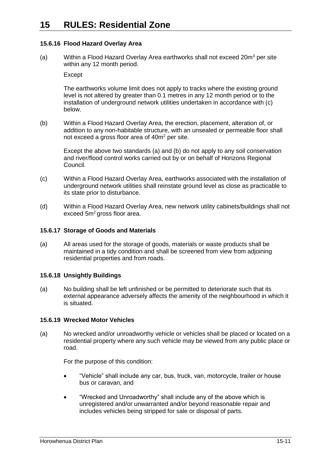### <span id="page-10-0"></span>**15.6.16 Flood Hazard Overlay Area**

(a) Within a Flood Hazard Overlay Area earthworks shall not exceed  $20m^3$  per site within any 12 month period.

**Except** 

The earthworks volume limit does not apply to tracks where the existing ground level is not altered by greater than 0.1 metres in any 12 month period or to the installation of underground network utilities undertaken in accordance with (c) below.

(b) Within a Flood Hazard Overlay Area, the erection, placement, alteration of, or addition to any non-habitable structure, with an unsealed or permeable floor shall not exceed a gross floor area of 40m<sup>2</sup> per site.

Except the above two standards (a) and (b) do not apply to any soil conservation and river/flood control works carried out by or on behalf of Horizons Regional Council.

- (c) Within a Flood Hazard Overlay Area, earthworks associated with the installation of underground network utilities shall reinstate ground level as close as practicable to its state prior to disturbance.
- (d) Within a Flood Hazard Overlay Area, new network utility cabinets/buildings shall not exceed 5m<sup>2</sup> gross floor area.

### **15.6.17 Storage of Goods and Materials**

(a) All areas used for the storage of goods, materials or waste products shall be maintained in a tidy condition and shall be screened from view from adjoining residential properties and from roads.

### **15.6.18 Unsightly Buildings**

(a) No building shall be left unfinished or be permitted to deteriorate such that its external appearance adversely affects the amenity of the neighbourhood in which it is situated.

### **15.6.19 Wrecked Motor Vehicles**

(a) No wrecked and/or unroadworthy vehicle or vehicles shall be placed or located on a residential property where any such vehicle may be viewed from any public place or road.

For the purpose of this condition:

- "Vehicle" shall include any car, bus, truck, van, motorcycle, trailer or house bus or caravan, and
- "Wrecked and Unroadworthy" shall include any of the above which is unregistered and/or unwarranted and/or beyond reasonable repair and includes vehicles being stripped for sale or disposal of parts.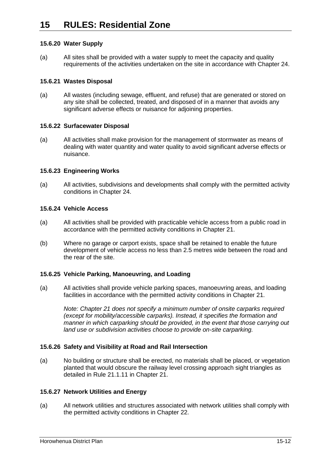### **15.6.20 Water Supply**

(a) All sites shall be provided with a water supply to meet the capacity and quality requirements of the activities undertaken on the site in accordance with Chapter 24.

### **15.6.21 Wastes Disposal**

(a) All wastes (including sewage, effluent, and refuse) that are generated or stored on any site shall be collected, treated, and disposed of in a manner that avoids any significant adverse effects or nuisance for adjoining properties.

## **15.6.22 Surfacewater Disposal**

(a) All activities shall make provision for the management of stormwater as means of dealing with water quantity and water quality to avoid significant adverse effects or nuisance.

## **15.6.23 Engineering Works**

(a) All activities, subdivisions and developments shall comply with the permitted activity conditions in Chapter 24.

## <span id="page-11-0"></span>**15.6.24 Vehicle Access**

- (a) All activities shall be provided with practicable vehicle access from a public road in accordance with the permitted activity conditions in Chapter 21.
- (b) Where no garage or carport exists, space shall be retained to enable the future development of vehicle access no less than 2.5 metres wide between the road and the rear of the site.

### **15.6.25 Vehicle Parking, Manoeuvring, and Loading**

(a) All activities shall provide vehicle parking spaces, manoeuvring areas, and loading facilities in accordance with the permitted activity conditions in Chapter 21.

*Note: Chapter 21 does not specify a minimum number of onsite carparks required (except for mobility/accessible carparks). Instead, it specifies the formation and manner in which carparking should be provided, in the event that those carrying out land use or subdivision activities choose to provide on-site carparking.* 

## **15.6.26 Safety and Visibility at Road and Rail Intersection**

(a) No building or structure shall be erected, no materials shall be placed, or vegetation planted that would obscure the railway level crossing approach sight triangles as detailed in Rule 21.1.11 in Chapter 21.

### **15.6.27 Network Utilities and Energy**

(a) All network utilities and structures associated with network utilities shall comply with the permitted activity conditions in Chapter 22.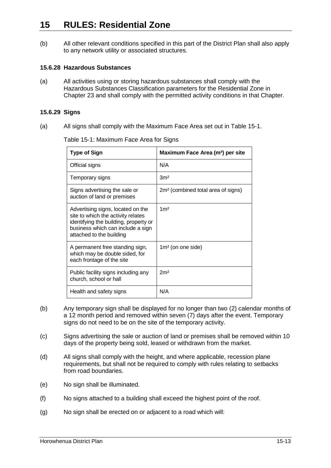(b) All other relevant conditions specified in this part of the District Plan shall also apply to any network utility or associated structures.

### **15.6.28 Hazardous Substances**

(a) All activities using or storing hazardous substances shall comply with the Hazardous Substances Classification parameters for the Residential Zone in Chapter 23 and shall comply with the permitted activity conditions in that Chapter.

#### **15.6.29 Signs**

(a) All signs shall comply with the Maximum Face Area set out in Table 15-1.

| <b>Type of Sign</b>                                                                                                                                                               | Maximum Face Area (m <sup>2</sup> ) per site   |
|-----------------------------------------------------------------------------------------------------------------------------------------------------------------------------------|------------------------------------------------|
| Official signs                                                                                                                                                                    | N/A                                            |
| Temporary signs                                                                                                                                                                   | 3 <sup>m²</sup>                                |
| Signs advertising the sale or<br>auction of land or premises                                                                                                                      | 2m <sup>2</sup> (combined total area of signs) |
| Advertising signs, located on the<br>site to which the activity relates<br>identifying the building, property or<br>business which can include a sign<br>attached to the building | 1 <sup>m²</sup>                                |
| A permanent free standing sign,<br>which may be double sided, for<br>each frontage of the site                                                                                    | $1m2$ (on one side)                            |
| Public facility signs including any<br>church, school or hall                                                                                                                     | 2m <sup>2</sup>                                |
| Health and safety signs                                                                                                                                                           | N/A                                            |

Table 15-1: Maximum Face Area for Signs

- (b) Any temporary sign shall be displayed for no longer than two (2) calendar months of a 12 month period and removed within seven (7) days after the event. Temporary signs do not need to be on the site of the temporary activity.
- (c) Signs advertising the sale or auction of land or premises shall be removed within 10 days of the property being sold, leased or withdrawn from the market.
- (d) All signs shall comply with the height, and where applicable, recession plane requirements, but shall not be required to comply with rules relating to setbacks from road boundaries.
- (e) No sign shall be illuminated.
- (f) No signs attached to a building shall exceed the highest point of the roof.
- (g) No sign shall be erected on or adjacent to a road which will: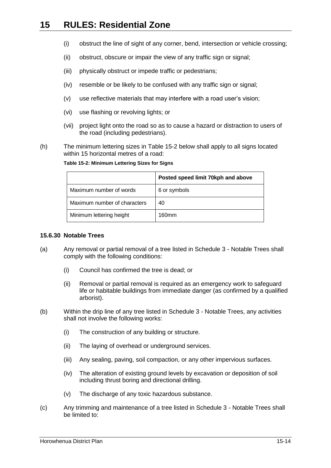- (i) obstruct the line of sight of any corner, bend, intersection or vehicle crossing;
- (ii) obstruct, obscure or impair the view of any traffic sign or signal;
- (iii) physically obstruct or impede traffic or pedestrians;
- (iv) resemble or be likely to be confused with any traffic sign or signal:
- (v) use reflective materials that may interfere with a road user's vision;
- (vi) use flashing or revolving lights; or
- (vii) project light onto the road so as to cause a hazard or distraction to users of the road (including pedestrians).
- <span id="page-13-1"></span>(h) The minimum lettering sizes in [Table 15-2](#page-13-1) below shall apply to all signs located within 15 horizontal metres of a road:

|                              | Posted speed limit 70kph and above |
|------------------------------|------------------------------------|
| Maximum number of words      | 6 or symbols                       |
| Maximum number of characters | 40                                 |
| Minimum lettering height     | 160mm                              |

**Table 15-2: Minimum Lettering Sizes for Signs**

#### <span id="page-13-0"></span>**15.6.30 Notable Trees**

- (a) Any removal or partial removal of a tree listed in Schedule 3 Notable Trees shall comply with the following conditions:
	- (i) Council has confirmed the tree is dead; or
	- (ii) Removal or partial removal is required as an emergency work to safeguard life or habitable buildings from immediate danger (as confirmed by a qualified arborist).
- (b) Within the drip line of any tree listed in Schedule 3 Notable Trees, any activities shall not involve the following works:
	- (i) The construction of any building or structure.
	- (ii) The laying of overhead or underground services.
	- (iii) Any sealing, paving, soil compaction, or any other impervious surfaces.
	- (iv) The alteration of existing ground levels by excavation or deposition of soil including thrust boring and directional drilling.
	- (v) The discharge of any toxic hazardous substance.
- (c) Any trimming and maintenance of a tree listed in Schedule 3 Notable Trees shall be limited to: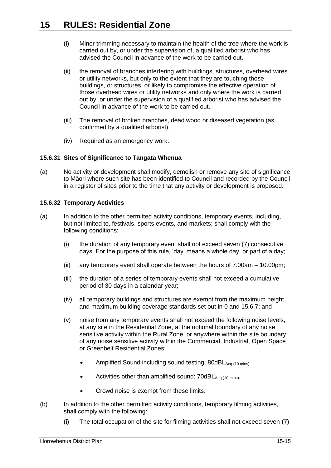- (i) Minor trimming necessary to maintain the health of the tree where the work is carried out by, or under the supervision of, a qualified arborist who has advised the Council in advance of the work to be carried out.
- (ii) the removal of branches interfering with buildings, structures, overhead wires or utility networks, but only to the extent that they are touching those buildings, or structures, or likely to compromise the effective operation of those overhead wires or utility networks and only where the work is carried out by, or under the supervision of a qualified arborist who has advised the Council in advance of the work to be carried out.
- (iii) The removal of broken branches, dead wood or diseased vegetation (as confirmed by a qualified arborist).
- (iv) Required as an emergency work.

## **15.6.31 Sites of Significance to Tangata Whenua**

(a) No activity or development shall modify, demolish or remove any site of significance to Māori where such site has been identified to Council and recorded by the Council in a register of sites prior to the time that any activity or development is proposed.

### **15.6.32 Temporary Activities**

- (a) In addition to the other permitted activity conditions, temporary events, including, but not limited to, festivals, sports events, and markets; shall comply with the following conditions:
	- (i) the duration of any temporary event shall not exceed seven (7) consecutive days. For the purpose of this rule, 'day' means a whole day, or part of a day;
	- (ii) any temporary event shall operate between the hours of  $7.00$ am  $-10.00$ pm;
	- (iii) the duration of a series of temporary events shall not exceed a cumulative period of 30 days in a calendar year;
	- (iv) all temporary buildings and structures are exempt from the maximum height and maximum building coverage standards set out in [0](#page-5-2) and [15.6.7;](#page-7-0) and
	- (v) noise from any temporary events shall not exceed the following noise levels, at any site in the Residential Zone, at the notional boundary of any noise sensitive activity within the Rural Zone, or anywhere within the site boundary of any noise sensitive activity within the Commercial, Industrial, Open Space or Greenbelt Residential Zones:
		- Amplified Sound including sound testing:  $80$ dBL $_{Aea(10 \text{ mins})}$ .
		- $\bullet$  Activities other than amplified sound: 70dBL $_{Aeq}$  (10 mins).
		- Crowd noise is exempt from these limits.
- <span id="page-14-0"></span>(b) In addition to the other permitted activity conditions, temporary filming activities, shall comply with the following:
	- (i) The total occupation of the site for filming activities shall not exceed seven (7)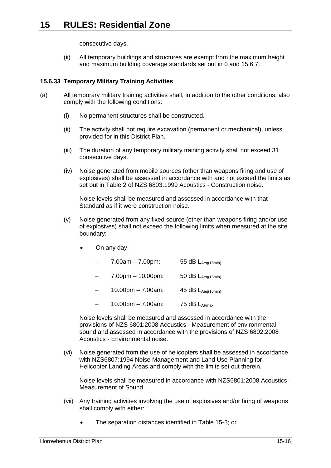consecutive days.

(ii) All temporary buildings and structures are exempt from the maximum height and maximum building coverage standards set out in [0](#page-5-2) and [15.6.7.](#page-7-0)

## <span id="page-15-0"></span>**15.6.33 Temporary Military Training Activities**

- (a) All temporary military training activities shall, in addition to the other conditions, also comply with the following conditions:
	- (i) No permanent structures shall be constructed.
	- (ii) The activity shall not require excavation (permanent or mechanical), unless provided for in this District Plan.
	- (iii) The duration of any temporary military training activity shall not exceed 31 consecutive days.
	- (iv) Noise generated from mobile sources (other than weapons firing and use of explosives) shall be assessed in accordance with and not exceed the limits as set out in Table 2 of NZS 6803:1999 Acoustics - Construction noise.

Noise levels shall be measured and assessed in accordance with that Standard as if it were construction noise.

- (v) Noise generated from any fixed source (other than weapons firing and/or use of explosives) shall not exceed the following limits when measured at the site boundary:
	- On any day
		- 7.00am 7.00pm: 55 dB  $L_{Aeq(15min)}$
		- $-$  7.00pm 10.00pm: 50 dB  $L_{Aeq(15min)}$
		- 10.00pm 7.00am:  $45$  dB LAeg(15min)
		- 10.00pm 7.00am: 75 dB  $L_{AEmax}$

Noise levels shall be measured and assessed in accordance with the provisions of NZS 6801:2008 Acoustics - Measurement of environmental sound and assessed in accordance with the provisions of NZS 6802:2008 Acoustics - Environmental noise.

(vi) Noise generated from the use of helicopters shall be assessed in accordance with NZS6807:1994 Noise Management and Land Use Planning for Helicopter Landing Areas and comply with the limits set out therein.

Noise levels shall be measured in accordance with NZS6801:2008 Acoustics - Measurement of Sound.

- (vii) Any training activities involving the use of explosives and/or firing of weapons shall comply with either:
	- The separation distances identified in Table 15-3; or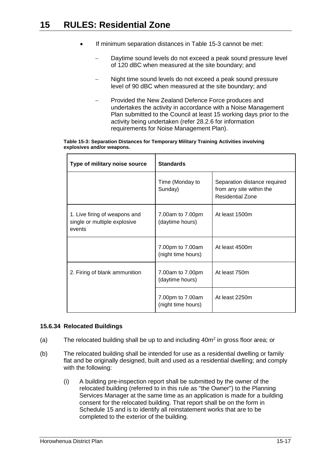- If minimum separation distances in Table 15-3 cannot be met:
	- Daytime sound levels do not exceed a peak sound pressure level of 120 dBC when measured at the site boundary; and
	- Night time sound levels do not exceed a peak sound pressure level of 90 dBC when measured at the site boundary; and
	- Provided the New Zealand Defence Force produces and undertakes the activity in accordance with a Noise Management Plan submitted to the Council at least 15 working days prior to the activity being undertaken (refer 28.2.6 for information requirements for Noise Management Plan).

| Table 15-3: Separation Distances for Temporary Military Training Activities involving |  |  |
|---------------------------------------------------------------------------------------|--|--|
| explosives and/or weapons.                                                            |  |  |

| Type of military noise source                                           | <b>Standards</b>                       |                                                                                     |
|-------------------------------------------------------------------------|----------------------------------------|-------------------------------------------------------------------------------------|
|                                                                         | Time (Monday to<br>Sunday)             | Separation distance required<br>from any site within the<br><b>Residential Zone</b> |
| 1. Live firing of weapons and<br>single or multiple explosive<br>events | 7.00am to 7.00pm<br>(daytime hours)    | At least 1500m                                                                      |
|                                                                         | 7.00pm to 7.00am<br>(night time hours) | At least 4500m                                                                      |
| 2. Firing of blank ammunition                                           | 7.00am to 7.00pm<br>(daytime hours)    | At least 750m                                                                       |
|                                                                         | 7.00pm to 7.00am<br>(night time hours) | At least 2250m                                                                      |

### **15.6.34 Relocated Buildings**

- (a) The relocated building shall be up to and including  $40m^2$  in gross floor area; or
- <span id="page-16-0"></span>(b) The relocated building shall be intended for use as a residential dwelling or family flat and be originally designed, built and used as a residential dwelling; and comply with the following:
	- (i) A building pre-inspection report shall be submitted by the owner of the relocated building (referred to in this rule as "the Owner") to the Planning Services Manager at the same time as an application is made for a building consent for the relocated building. That report shall be on the form in Schedule 15 and is to identify all reinstatement works that are to be completed to the exterior of the building.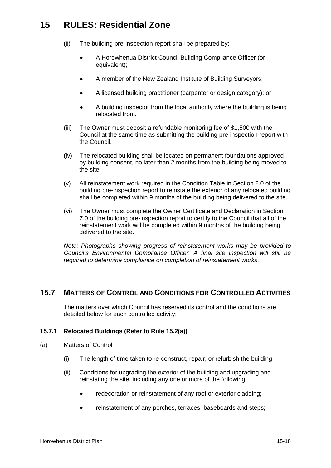- (ii) The building pre-inspection report shall be prepared by:
	- A Horowhenua District Council Building Compliance Officer (or equivalent);
	- A member of the New Zealand Institute of Building Surveyors;
	- A licensed building practitioner (carpenter or design category); or
	- A building inspector from the local authority where the building is being relocated from.
- (iii) The Owner must deposit a refundable monitoring fee of \$1,500 with the Council at the same time as submitting the building pre-inspection report with the Council.
- (iv) The relocated building shall be located on permanent foundations approved by building consent, no later than 2 months from the building being moved to the site.
- (v) All reinstatement work required in the Condition Table in Section 2.0 of the building pre-inspection report to reinstate the exterior of any relocated building shall be completed within 9 months of the building being delivered to the site.
- (vi) The Owner must complete the Owner Certificate and Declaration in Section 7.0 of the building pre-inspection report to certify to the Council that all of the reinstatement work will be completed within 9 months of the building being delivered to the site.

*Note: Photographs showing progress of reinstatement works may be provided to Council's Environmental Compliance Officer. A final site inspection will still be required to determine compliance on completion of reinstatement works.*

## <span id="page-17-0"></span>**15.7 MATTERS OF CONTROL AND CONDITIONS FOR CONTROLLED ACTIVITIES**

The matters over which Council has reserved its control and the conditions are detailed below for each controlled activity:

#### <span id="page-17-1"></span>**15.7.1 Relocated Buildings (Refer to Rule [15.2\(a\)\)](#page-2-1)**

- (a) Matters of Control
	- (i) The length of time taken to re-construct, repair, or refurbish the building.
	- (ii) Conditions for upgrading the exterior of the building and upgrading and reinstating the site, including any one or more of the following:
		- redecoration or reinstatement of any roof or exterior cladding:
		- reinstatement of any porches, terraces, baseboards and steps;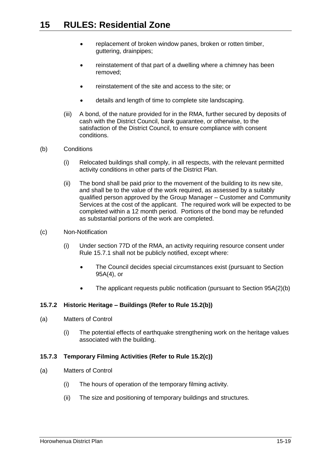- replacement of broken window panes, broken or rotten timber, guttering, drainpipes;
- reinstatement of that part of a dwelling where a chimney has been removed;
- reinstatement of the site and access to the site; or
- details and length of time to complete site landscaping.
- (iii) A bond, of the nature provided for in the RMA, further secured by deposits of cash with the District Council, bank guarantee, or otherwise, to the satisfaction of the District Council, to ensure compliance with consent conditions.
- (b) Conditions
	- (i) Relocated buildings shall comply, in all respects, with the relevant permitted activity conditions in other parts of the District Plan.
	- (ii) The bond shall be paid prior to the movement of the building to its new site, and shall be to the value of the work required, as assessed by a suitably qualified person approved by the Group Manager – Customer and Community Services at the cost of the applicant. The required work will be expected to be completed within a 12 month period. Portions of the bond may be refunded as substantial portions of the work are completed.
- (c) Non-Notification
	- (i) Under section 77D of the RMA, an activity requiring resource consent under Rule [15.7.1](#page-17-1) shall not be publicly notified, except where:
		- The Council decides special circumstances exist (pursuant to Section 95A(4), or
		- The applicant requests public notification (pursuant to Section 95A(2)(b)

### <span id="page-18-0"></span>**15.7.2 Historic Heritage – Buildings (Refer to Rule [15.2\(b\)\)](#page-2-2)**

- (a) Matters of Control
	- (i) The potential effects of earthquake strengthening work on the heritage values associated with the building.

### <span id="page-18-1"></span>**15.7.3 Temporary Filming Activities (Refer to Rule [15.2\(c\)\)](#page-2-3)**

- (a) Matters of Control
	- (i) The hours of operation of the temporary filming activity.
	- (ii) The size and positioning of temporary buildings and structures.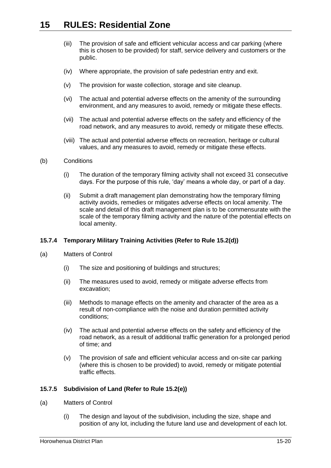- (iii) The provision of safe and efficient vehicular access and car parking (where this is chosen to be provided) for staff, service delivery and customers or the public.
- (iv) Where appropriate, the provision of safe pedestrian entry and exit.
- (v) The provision for waste collection, storage and site cleanup.
- (vi) The actual and potential adverse effects on the amenity of the surrounding environment, and any measures to avoid, remedy or mitigate these effects.
- (vii) The actual and potential adverse effects on the safety and efficiency of the road network, and any measures to avoid, remedy or mitigate these effects.
- (viii) The actual and potential adverse effects on recreation, heritage or cultural values, and any measures to avoid, remedy or mitigate these effects.
- (b) Conditions
	- (i) The duration of the temporary filming activity shall not exceed 31 consecutive days. For the purpose of this rule, 'day' means a whole day, or part of a day.
	- (ii) Submit a draft management plan demonstrating how the temporary filming activity avoids, remedies or mitigates adverse effects on local amenity. The scale and detail of this draft management plan is to be commensurate with the scale of the temporary filming activity and the nature of the potential effects on local amenity.

### <span id="page-19-0"></span>**15.7.4 Temporary Military Training Activities (Refer to Rule [15.2\(d\)\)](#page-2-4)**

- (a) Matters of Control
	- (i) The size and positioning of buildings and structures;
	- (ii) The measures used to avoid, remedy or mitigate adverse effects from excavation;
	- (iii) Methods to manage effects on the amenity and character of the area as a result of non-compliance with the noise and duration permitted activity conditions;
	- (iv) The actual and potential adverse effects on the safety and efficiency of the road network, as a result of additional traffic generation for a prolonged period of time; and
	- (v) The provision of safe and efficient vehicular access and on-site car parking (where this is chosen to be provided) to avoid, remedy or mitigate potential traffic effects.

### <span id="page-19-1"></span>**15.7.5 Subdivision of Land (Refer to Rule [15.2\(e\)\)](#page-2-5)**

- (a) Matters of Control
	- (i) The design and layout of the subdivision, including the size, shape and position of any lot, including the future land use and development of each lot.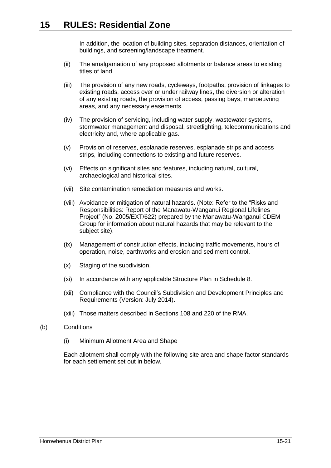In addition, the location of building sites, separation distances, orientation of buildings, and screening/landscape treatment.

- (ii) The amalgamation of any proposed allotments or balance areas to existing titles of land.
- (iii) The provision of any new roads, cycleways, footpaths, provision of linkages to existing roads, access over or under railway lines, the diversion or alteration of any existing roads, the provision of access, passing bays, manoeuvring areas, and any necessary easements.
- (iv) The provision of servicing, including water supply, wastewater systems, stormwater management and disposal, streetlighting, telecommunications and electricity and, where applicable gas.
- (v) Provision of reserves, esplanade reserves, esplanade strips and access strips, including connections to existing and future reserves.
- (vi) Effects on significant sites and features, including natural, cultural, archaeological and historical sites.
- (vii) Site contamination remediation measures and works.
- (viii) Avoidance or mitigation of natural hazards. (Note: Refer to the "Risks and Responsibilities: Report of the Manawatu-Wanganui Regional Lifelines Project" (No. 2005/EXT/622) prepared by the Manawatu-Wanganui CDEM Group for information about natural hazards that may be relevant to the subject site).
- (ix) Management of construction effects, including traffic movements, hours of operation, noise, earthworks and erosion and sediment control.
- (x) Staging of the subdivision.
- (xi) In accordance with any applicable Structure Plan in Schedule 8.
- (xii) Compliance with the Council's Subdivision and Development Principles and Requirements (Version: July 2014).
- (xiii) Those matters described in Sections 108 and 220 of the RMA.
- <span id="page-20-1"></span><span id="page-20-0"></span>(b) Conditions
	- (i) Minimum Allotment Area and Shape

Each allotment shall comply with the following site area and shape factor standards for each settlement set out in below.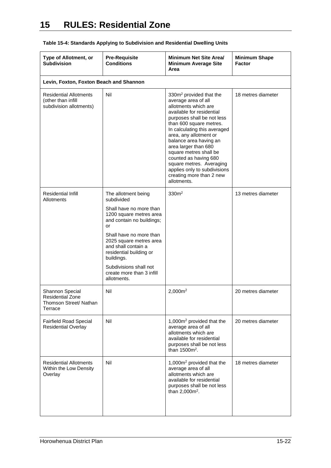| Type of Allotment, or<br><b>Subdivision</b>                                    | <b>Pre-Requisite</b><br><b>Conditions</b>                                                                                                                                                                                                                                                                              | Minimum Net Site Area/<br><b>Minimum Average Site</b><br>Area                                                                                                                                                                                                                                                                                                                                                                                  | <b>Minimum Shape</b><br><b>Factor</b> |
|--------------------------------------------------------------------------------|------------------------------------------------------------------------------------------------------------------------------------------------------------------------------------------------------------------------------------------------------------------------------------------------------------------------|------------------------------------------------------------------------------------------------------------------------------------------------------------------------------------------------------------------------------------------------------------------------------------------------------------------------------------------------------------------------------------------------------------------------------------------------|---------------------------------------|
| Levin, Foxton, Foxton Beach and Shannon                                        |                                                                                                                                                                                                                                                                                                                        |                                                                                                                                                                                                                                                                                                                                                                                                                                                |                                       |
| <b>Residential Allotments</b><br>(other than infill<br>subdivision allotments) | Nil                                                                                                                                                                                                                                                                                                                    | 330m <sup>2</sup> provided that the<br>average area of all<br>allotments which are<br>available for residential<br>purposes shall be not less<br>than 600 square metres.<br>In calculating this averaged<br>area, any allotment or<br>balance area having an<br>area larger than 680<br>square metres shall be<br>counted as having 680<br>square metres. Averaging<br>applies only to subdivisions<br>creating more than 2 new<br>allotments. | 18 metres diameter                    |
| Residential Infill<br>Allotments                                               | The allotment being<br>subdivided<br>Shall have no more than<br>1200 square metres area<br>and contain no buildings;<br>or<br>Shall have no more than<br>2025 square metres area<br>and shall contain a<br>residential building or<br>buildings.<br>Subdivisions shall not<br>create more than 3 infill<br>allotments. | 330 <sup>m²</sup>                                                                                                                                                                                                                                                                                                                                                                                                                              | 13 metres diameter                    |
| Shannon Special<br>Residential Zone<br>Thomson Street/ Nathan<br>Terrace       | Nil                                                                                                                                                                                                                                                                                                                    | 2,000m <sup>2</sup>                                                                                                                                                                                                                                                                                                                                                                                                                            | 20 metres diameter                    |
| <b>Fairfield Road Special</b><br><b>Residential Overlay</b>                    | Nil                                                                                                                                                                                                                                                                                                                    | 1,000m <sup>2</sup> provided that the<br>average area of all<br>allotments which are<br>available for residential<br>purposes shall be not less<br>than 1500m <sup>2</sup> .                                                                                                                                                                                                                                                                   | 20 metres diameter                    |
| <b>Residential Allotments</b><br>Within the Low Density<br>Overlay             | Nil                                                                                                                                                                                                                                                                                                                    | 1,000m <sup>2</sup> provided that the<br>average area of all<br>allotments which are<br>available for residential<br>purposes shall be not less<br>than $2,000m^2$ .                                                                                                                                                                                                                                                                           | 18 metres diameter                    |

**Table 15-4: Standards Applying to Subdivision and Residential Dwelling Units**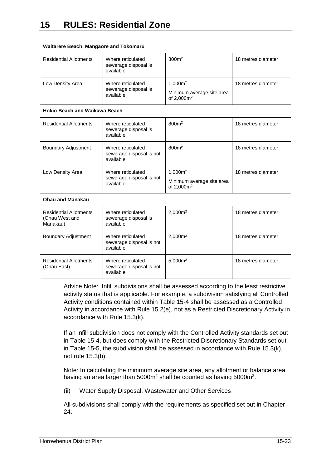| Waitarere Beach, Mangaore and Tokomaru                        |                                                            |                                                     |                    |
|---------------------------------------------------------------|------------------------------------------------------------|-----------------------------------------------------|--------------------|
| <b>Residential Allotments</b>                                 | Where reticulated<br>sewerage disposal is<br>available     | 800m <sup>2</sup>                                   | 18 metres diameter |
| Low Density Area<br>Where reticulated<br>sewerage disposal is | 1,000m <sup>2</sup>                                        | 18 metres diameter                                  |                    |
|                                                               | available                                                  | Minimum average site area<br>of 2,000m <sup>2</sup> |                    |
| <b>Hokio Beach and Waikawa Beach</b>                          |                                                            |                                                     |                    |
| <b>Residential Allotments</b>                                 | Where reticulated<br>sewerage disposal is<br>available     | 800m <sup>2</sup>                                   | 18 metres diameter |
| <b>Boundary Adjustment</b>                                    | Where reticulated<br>sewerage disposal is not<br>available | 800m <sup>2</sup>                                   | 18 metres diameter |
| Low Density Area                                              | Where reticulated                                          |                                                     | 18 metres diameter |
|                                                               | sewerage disposal is not<br>available                      | Minimum average site area<br>of 2,000m <sup>2</sup> |                    |
| <b>Ohau and Manakau</b>                                       |                                                            |                                                     |                    |
| <b>Residential Allotments</b><br>(Ohau West and<br>Manakau)   | Where reticulated<br>sewerage disposal is<br>available     | 2,000m <sup>2</sup>                                 | 18 metres diameter |
| Boundary Adjustment                                           | Where reticulated<br>sewerage disposal is not<br>available | 2.000m <sup>2</sup>                                 | 18 metres diameter |
| <b>Residential Allotments</b><br>(Ohau East)                  | Where reticulated<br>sewerage disposal is not<br>available | 5,000m <sup>2</sup>                                 | 18 metres diameter |

Advice Note: Infill subdivisions shall be assessed according to the least restrictive activity status that is applicable. For example, a subdivision satisfying all Controlled Activity conditions contained within Table 15-4 shall be assessed as a Controlled Activity in accordance with Rule 15.2(e), not as a Restricted Discretionary Activity in accordance with Rule 15.3(k).

If an infill subdivision does not comply with the Controlled Activity standards set out in Table 15-4, but does comply with the Restricted Discretionary Standards set out in Table 15-5, the subdivision shall be assessed in accordance with Rule 15.3(k), not rule 15.3(b).

Note: In calculating the minimum average site area, any allotment or balance area having an area larger than  $5000m^2$  shall be counted as having  $5000m^2$ .

(ii) Water Supply Disposal, Wastewater and Other Services

All subdivisions shall comply with the requirements as specified set out in Chapter 24.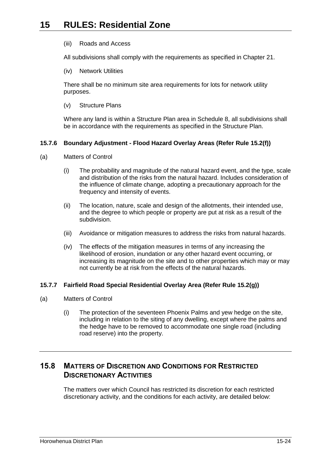#### (iii) Roads and Access

All subdivisions shall comply with the requirements as specified in Chapter 21.

(iv) Network Utilities

There shall be no minimum site area requirements for lots for network utility purposes.

(v) Structure Plans

Where any land is within a Structure Plan area in Schedule 8, all subdivisions shall be in accordance with the requirements as specified in the Structure Plan.

## <span id="page-23-0"></span>**15.7.6 Boundary Adjustment - Flood Hazard Overlay Areas (Refer Rule [15.2\(f\)\)](#page-2-6)**

- (a) Matters of Control
	- (i) The probability and magnitude of the natural hazard event, and the type, scale and distribution of the risks from the natural hazard. Includes consideration of the influence of climate change, adopting a precautionary approach for the frequency and intensity of events.
	- (ii) The location, nature, scale and design of the allotments, their intended use, and the degree to which people or property are put at risk as a result of the subdivision.
	- (iii) Avoidance or mitigation measures to address the risks from natural hazards.
	- (iv) The effects of the mitigation measures in terms of any increasing the likelihood of erosion, inundation or any other hazard event occurring, or increasing its magnitude on the site and to other properties which may or may not currently be at risk from the effects of the natural hazards.

### <span id="page-23-1"></span>**15.7.7 Fairfield Road Special Residential Overlay Area (Refer Rule [15.2\(g\)\)](#page-2-7)**

- (a) Matters of Control
	- (i) The protection of the seventeen Phoenix Palms and yew hedge on the site, including in relation to the siting of any dwelling, except where the palms and the hedge have to be removed to accommodate one single road (including road reserve) into the property.

# <span id="page-23-2"></span>**15.8 MATTERS OF DISCRETION AND CONDITIONS FOR RESTRICTED DISCRETIONARY ACTIVITIES**

The matters over which Council has restricted its discretion for each restricted discretionary activity, and the conditions for each activity, are detailed below: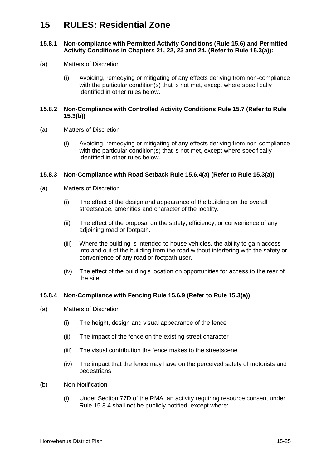#### <span id="page-24-0"></span>**15.8.1 Non-compliance with Permitted Activity Conditions (Rule [15.6\)](#page-5-0) and Permitted Activity Conditions in Chapters 21, 22, 23 and 24. (Refer to Rule [15.3\(a\)\)](#page-3-0):**

- (a) Matters of Discretion
	- (i) Avoiding, remedying or mitigating of any effects deriving from non-compliance with the particular condition(s) that is not met, except where specifically identified in other rules below.

#### <span id="page-24-1"></span>**15.8.2 Non-Compliance with Controlled Activity Conditions Rule [15.7](#page-17-0) (Refer to Rule [15.3\(b\)\)](#page-3-1)**

- (a) Matters of Discretion
	- (i) Avoiding, remedying or mitigating of any effects deriving from non-compliance with the particular condition(s) that is not met, except where specifically identified in other rules below.

#### **15.8.3 Non-Compliance with Road Setback Rule [15.6.4\(a\)](#page-6-0) (Refer to Rule [15.3\(a\)\)](#page-3-0)**

- (a) Matters of Discretion
	- (i) The effect of the design and appearance of the building on the overall streetscape, amenities and character of the locality.
	- (ii) The effect of the proposal on the safety, efficiency, or convenience of any adjoining road or footpath.
	- (iii) Where the building is intended to house vehicles, the ability to gain access into and out of the building from the road without interfering with the safety or convenience of any road or footpath user.
	- (iv) The effect of the building's location on opportunities for access to the rear of the site.

#### <span id="page-24-2"></span>**15.8.4 Non-Compliance with Fencing Rule [15.6.9](#page-7-1) (Refer to Rule [15.3\(a\)\)](#page-3-0)**

- (a) Matters of Discretion
	- (i) The height, design and visual appearance of the fence
	- (ii) The impact of the fence on the existing street character
	- (iii) The visual contribution the fence makes to the streetscene
	- (iv) The impact that the fence may have on the perceived safety of motorists and pedestrians
- (b) Non-Notification
	- (i) Under Section 77D of the RMA, an activity requiring resource consent under Rule [15.8.4](#page-24-2) shall not be publicly notified, except where: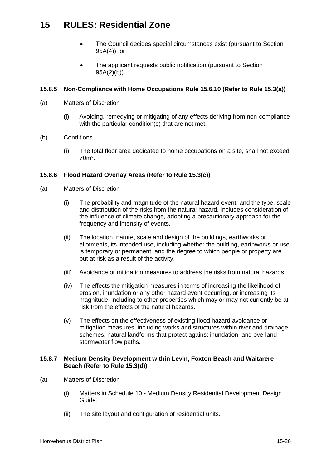- The Council decides special circumstances exist (pursuant to Section 95A(4)), or
- The applicant requests public notification (pursuant to Section 95A(2)(b)).

## **15.8.5 Non-Compliance with Home Occupations Rule [15.6.10](#page-8-2) (Refer to Rule [15.3\(a\)\)](#page-3-0)**

- (a) Matters of Discretion
	- (i) Avoiding, remedying or mitigating of any effects deriving from non-compliance with the particular condition(s) that are not met.
- (b) Conditions
	- (i) The total floor area dedicated to home occupations on a site, shall not exceed 70m².

## <span id="page-25-0"></span>**15.8.6 Flood Hazard Overlay Areas (Refer to Rule [15.3\(c\)\)](#page-3-2)**

- (a) Matters of Discretion
	- (i) The probability and magnitude of the natural hazard event, and the type, scale and distribution of the risks from the natural hazard. Includes consideration of the influence of climate change, adopting a precautionary approach for the frequency and intensity of events.
	- (ii) The location, nature, scale and design of the buildings, earthworks or allotments, its intended use, including whether the building, earthworks or use is temporary or permanent, and the degree to which people or property are put at risk as a result of the activity.
	- (iii) Avoidance or mitigation measures to address the risks from natural hazards.
	- (iv) The effects the mitigation measures in terms of increasing the likelihood of erosion, inundation or any other hazard event occurring, or increasing its magnitude, including to other properties which may or may not currently be at risk from the effects of the natural hazards.
	- (v) The effects on the effectiveness of existing flood hazard avoidance or mitigation measures, including works and structures within river and drainage schemes, natural landforms that protect against inundation, and overland stormwater flow paths.

### <span id="page-25-1"></span>**15.8.7 Medium Density Development within Levin, Foxton Beach and Waitarere Beach (Refer to Rule [15.3\(d\)\)](#page-3-3)**

- (a) Matters of Discretion
	- (i) Matters in Schedule 10 Medium Density Residential Development Design Guide.
	- (ii) The site layout and configuration of residential units.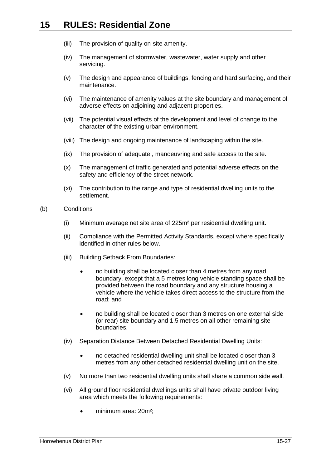- (iii) The provision of quality on-site amenity.
- (iv) The management of stormwater, wastewater, water supply and other servicing.
- (v) The design and appearance of buildings, fencing and hard surfacing, and their maintenance.
- (vi) The maintenance of amenity values at the site boundary and management of adverse effects on adjoining and adjacent properties.
- (vii) The potential visual effects of the development and level of change to the character of the existing urban environment.
- (viii) The design and ongoing maintenance of landscaping within the site.
- (ix) The provision of adequate , manoeuvring and safe access to the site.
- (x) The management of traffic generated and potential adverse effects on the safety and efficiency of the street network.
- (xi) The contribution to the range and type of residential dwelling units to the settlement.
- (b) Conditions
	- (i) Minimum average net site area of 225m² per residential dwelling unit.
	- (ii) Compliance with the Permitted Activity Standards, except where specifically identified in other rules below.
	- (iii) Building Setback From Boundaries:
		- no building shall be located closer than 4 metres from any road boundary, except that a 5 metres long vehicle standing space shall be provided between the road boundary and any structure housing a vehicle where the vehicle takes direct access to the structure from the road; and
		- no building shall be located closer than 3 metres on one external side (or rear) site boundary and 1.5 metres on all other remaining site boundaries.
	- (iv) Separation Distance Between Detached Residential Dwelling Units:
		- no detached residential dwelling unit shall be located closer than 3 metres from any other detached residential dwelling unit on the site.
	- (v) No more than two residential dwelling units shall share a common side wall.
	- (vi) All ground floor residential dwellings units shall have private outdoor living area which meets the following requirements:
		- minimum area: 20m<sup>2</sup>;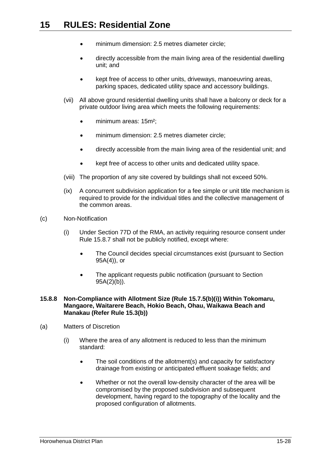- minimum dimension: 2.5 metres diameter circle;
- directly accessible from the main living area of the residential dwelling unit; and
- kept free of access to other units, driveways, manoeuvring areas, parking spaces, dedicated utility space and accessory buildings.
- (vii) All above ground residential dwelling units shall have a balcony or deck for a private outdoor living area which meets the following requirements:
	- minimum areas: 15m²;
	- minimum dimension: 2.5 metres diameter circle;
	- directly accessible from the main living area of the residential unit; and
	- kept free of access to other units and dedicated utility space.
- (viii) The proportion of any site covered by buildings shall not exceed 50%.
- (ix) A concurrent subdivision application for a fee simple or unit title mechanism is required to provide for the individual titles and the collective management of the common areas.
- (c) Non-Notification
	- (i) Under Section 77D of the RMA, an activity requiring resource consent under Rule [15.8.7](#page-25-1) shall not be publicly notified, except where:
		- The Council decides special circumstances exist (pursuant to Section 95A(4)), or
		- The applicant requests public notification (pursuant to Section 95A(2)(b)).

#### **15.8.8 Non-Compliance with Allotment Size (Rule [15.7.5\(b\)\(i\)\)](#page-20-0) Within Tokomaru, Mangaore, Waitarere Beach, Hokio Beach, Ohau, Waikawa Beach and Manakau (Refer Rule [15.3\(b\)\)](#page-3-1)**

- (a) Matters of Discretion
	- (i) Where the area of any allotment is reduced to less than the minimum standard:
		- The soil conditions of the allotment(s) and capacity for satisfactory drainage from existing or anticipated effluent soakage fields; and
		- Whether or not the overall low-density character of the area will be compromised by the proposed subdivision and subsequent development, having regard to the topography of the locality and the proposed configuration of allotments.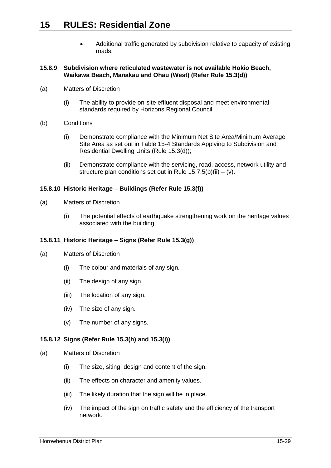Additional traffic generated by subdivision relative to capacity of existing roads.

#### <span id="page-28-0"></span>**15.8.9 Subdivision where reticulated wastewater is not available Hokio Beach, Waikawa Beach, Manakau and Ohau (West) (Refer Rule [15.3\(d\)\)](#page-3-3)**

- (a) Matters of Discretion
	- (i) The ability to provide on-site effluent disposal and meet environmental standards required by Horizons Regional Council.
- (b) Conditions
	- (i) Demonstrate compliance with the Minimum Net Site Area/Minimum Average Site Area as set out in Table 15-4 Standards Applying to Subdivision and Residential Dwelling Units (Rule [15.3\(d\)\)](#page-3-3);
	- (ii) Demonstrate compliance with the servicing, road, access, network utility and structure plan conditions set out in Rule  $15.7.5(b)(ii) - (v)$ .

### <span id="page-28-1"></span>**15.8.10 Historic Heritage – Buildings (Refer Rule [15.3\(f\)\)](#page-3-4)**

- (a) Matters of Discretion
	- (i) The potential effects of earthquake strengthening work on the heritage values associated with the building.

### <span id="page-28-2"></span>**15.8.11 Historic Heritage – Signs (Refer Rule [15.3\(g\)\)](#page-3-5)**

- (a) Matters of Discretion
	- (i) The colour and materials of any sign.
	- (ii) The design of any sign.
	- (iii) The location of any sign.
	- (iv) The size of any sign.
	- (v) The number of any signs.

### <span id="page-28-3"></span>**15.8.12 Signs (Refer Rule [15.3\(h\)](#page-3-6) and [15.3\(i\)\)](#page-3-7)**

- (a) Matters of Discretion
	- (i) The size, siting, design and content of the sign.
	- (ii) The effects on character and amenity values.
	- (iii) The likely duration that the sign will be in place.
	- (iv) The impact of the sign on traffic safety and the efficiency of the transport network.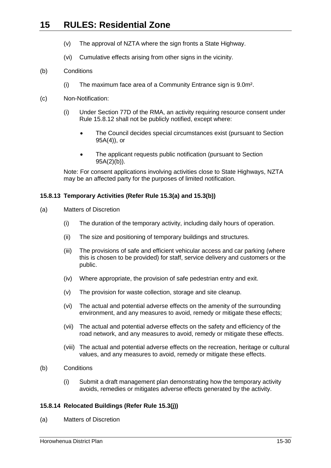- (v) The approval of NZTA where the sign fronts a State Highway.
- (vi) Cumulative effects arising from other signs in the vicinity.

#### <span id="page-29-1"></span>(b) Conditions

(i) The maximum face area of a Community Entrance sign is 9.0m².

#### (c) Non-Notification:

- (i) Under Section 77D of the RMA, an activity requiring resource consent under Rule [15.8.12](#page-28-3) shall not be publicly notified, except where:
	- The Council decides special circumstances exist (pursuant to Section 95A(4)), or
	- The applicant requests public notification (pursuant to Section 95A(2)(b)).

Note: For consent applications involving activities close to State Highways, NZTA may be an affected party for the purposes of limited notification.

#### **15.8.13 Temporary Activities (Refer Rule [15.3\(a\)](#page-3-0) and [15.3\(b\)\)](#page-3-1)**

- (a) Matters of Discretion
	- (i) The duration of the temporary activity, including daily hours of operation.
	- (ii) The size and positioning of temporary buildings and structures.
	- (iii) The provisions of safe and efficient vehicular access and car parking (where this is chosen to be provided) for staff, service delivery and customers or the public.
	- (iv) Where appropriate, the provision of safe pedestrian entry and exit.
	- (v) The provision for waste collection, storage and site cleanup.
	- (vi) The actual and potential adverse effects on the amenity of the surrounding environment, and any measures to avoid, remedy or mitigate these effects;
	- (vii) The actual and potential adverse effects on the safety and efficiency of the road network, and any measures to avoid, remedy or mitigate these effects.
	- (viii) The actual and potential adverse effects on the recreation, heritage or cultural values, and any measures to avoid, remedy or mitigate these effects.
- (b) Conditions
	- (i) Submit a draft management plan demonstrating how the temporary activity avoids, remedies or mitigates adverse effects generated by the activity.

### <span id="page-29-0"></span>**15.8.14 Relocated Buildings (Refer Rule [15.3\(j\)\)](#page-3-8)**

(a) Matters of Discretion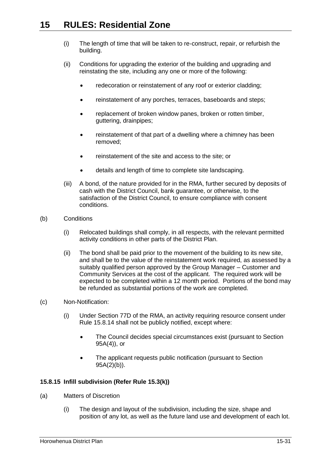- (i) The length of time that will be taken to re-construct, repair, or refurbish the building.
- (ii) Conditions for upgrading the exterior of the building and upgrading and reinstating the site, including any one or more of the following:
	- redecoration or reinstatement of any roof or exterior cladding:
	- reinstatement of any porches, terraces, baseboards and steps;
	- replacement of broken window panes, broken or rotten timber, guttering, drainpipes;
	- reinstatement of that part of a dwelling where a chimney has been removed;
	- reinstatement of the site and access to the site; or
	- details and length of time to complete site landscaping.
- (iii) A bond, of the nature provided for in the RMA, further secured by deposits of cash with the District Council, bank guarantee, or otherwise, to the satisfaction of the District Council, to ensure compliance with consent conditions.
- (b) Conditions
	- (i) Relocated buildings shall comply, in all respects, with the relevant permitted activity conditions in other parts of the District Plan.
	- (ii) The bond shall be paid prior to the movement of the building to its new site, and shall be to the value of the reinstatement work required, as assessed by a suitably qualified person approved by the Group Manager – Customer and Community Services at the cost of the applicant. The required work will be expected to be completed within a 12 month period. Portions of the bond may be refunded as substantial portions of the work are completed.
- (c) Non-Notification:
	- (i) Under Section 77D of the RMA, an activity requiring resource consent under Rule [15.8.14](#page-29-0) shall not be publicly notified, except where:
		- The Council decides special circumstances exist (pursuant to Section 95A(4)), or
		- The applicant requests public notification (pursuant to Section 95A(2)(b)).

## **15.8.15 Infill subdivision (Refer Rule 15.3(k))**

- (a) Matters of Discretion
	- (i) The design and layout of the subdivision, including the size, shape and position of any lot, as well as the future land use and development of each lot.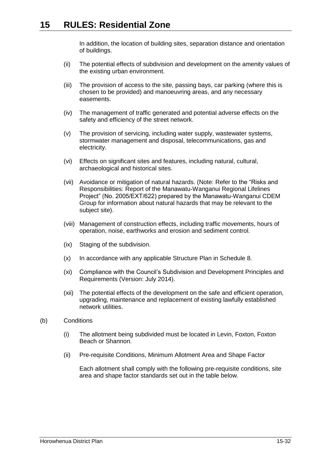In addition, the location of building sites, separation distance and orientation of buildings.

- (ii) The potential effects of subdivision and development on the amenity values of the existing urban environment.
- (iii) The provision of access to the site, passing bays, car parking (where this is chosen to be provided) and manoeuvring areas, and any necessary easements.
- (iv) The management of traffic generated and potential adverse effects on the safety and efficiency of the street network.
- (v) The provision of servicing, including water supply, wastewater systems, stormwater management and disposal, telecommunications, gas and electricity.
- (vi) Effects on significant sites and features, including natural, cultural, archaeological and historical sites.
- (vii) Avoidance or mitigation of natural hazards. (Note: Refer to the "Risks and Responsibilities: Report of the Manawatu-Wanganui Regional Lifelines Project" (No. 2005/EXT/622) prepared by the Manawatu-Wanganui CDEM Group for information about natural hazards that may be relevant to the subject site).
- (viii) Management of construction effects, including traffic movements, hours of operation, noise, earthworks and erosion and sediment control.
- (ix) Staging of the subdivision.
- (x) In accordance with any applicable Structure Plan in Schedule 8.
- (xi) Compliance with the Council's Subdivision and Development Principles and Requirements (Version: July 2014).
- (xii) The potential effects of the development on the safe and efficient operation, upgrading, maintenance and replacement of existing lawfully established network utilities.
- (b) Conditions
	- (i) The allotment being subdivided must be located in Levin, Foxton, Foxton Beach or Shannon.
	- (ii) Pre-requisite Conditions, Minimum Allotment Area and Shape Factor

Each allotment shall comply with the following pre-requisite conditions, site area and shape factor standards set out in the table below.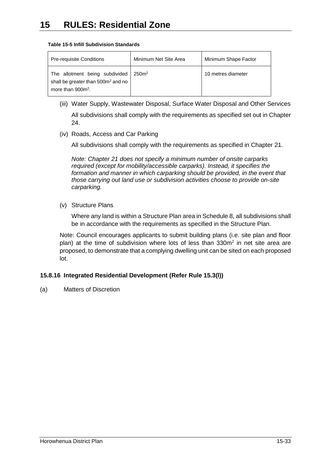| <b>Pre-requisite Conditions</b>                                                                          | Minimum Net Site Area | Minimum Shape Factor |
|----------------------------------------------------------------------------------------------------------|-----------------------|----------------------|
| The allotment being subdivided<br>shall be greater than 500m <sup>2</sup> and no<br>more than $900m^2$ . | 250 <sup>m²</sup>     | 10 metres diameter   |

#### **Table 15-5 Infill Subdivision Standards**

- (iii) Water Supply, Wastewater Disposal, Surface Water Disposal and Other Services All subdivisions shall comply with the requirements as specified set out in Chapter 24.
- (iv) Roads, Access and Car Parking

All subdivisions shall comply with the requirements as specified in Chapter 21.

*Note: Chapter 21 does not specify a minimum number of onsite carparks required (except for mobility/accessible carparks). Instead, it specifies the*  formation and manner in which carparking should be provided, in the event that *those carrying out land use or subdivision activities choose to provide on-site carparking.* 

(v) Structure Plans

Where any land is within a Structure Plan area in Schedule 8, all subdivisions shall be in accordance with the requirements as specified in the Structure Plan.

Note: Council encourages applicants to submit building plans (i.e. site plan and floor plan) at the time of subdivision where lots of less than  $330m^2$  in net site area are proposed, to demonstrate that a complying dwelling unit can be sited on each proposed lot.

### **15.8.16 Integrated Residential Development (Refer Rule 15.3(l))**

(a) Matters of Discretion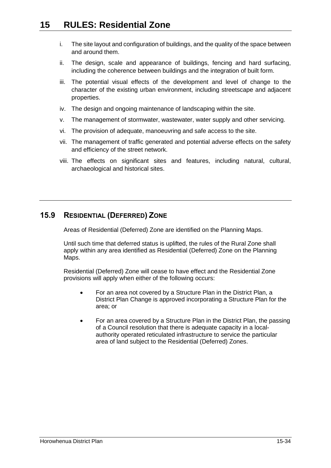- i. The site layout and configuration of buildings, and the quality of the space between and around them.
- ii. The design, scale and appearance of buildings, fencing and hard surfacing, including the coherence between buildings and the integration of built form.
- iii. The potential visual effects of the development and level of change to the character of the existing urban environment, including streetscape and adjacent properties.
- iv. The design and ongoing maintenance of landscaping within the site.
- v. The management of stormwater, wastewater, water supply and other servicing.
- vi. The provision of adequate, manoeuvring and safe access to the site.
- vii. The management of traffic generated and potential adverse effects on the safety and efficiency of the street network.
- viii. The effects on significant sites and features, including natural, cultural, archaeological and historical sites.

# **15.9 RESIDENTIAL (DEFERRED) ZONE**

Areas of Residential (Deferred) Zone are identified on the Planning Maps.

Until such time that deferred status is uplifted, the rules of the Rural Zone shall apply within any area identified as Residential (Deferred) Zone on the Planning Maps.

Residential (Deferred) Zone will cease to have effect and the Residential Zone provisions will apply when either of the following occurs:

- For an area not covered by a Structure Plan in the District Plan, a District Plan Change is approved incorporating a Structure Plan for the area; or
- For an area covered by a Structure Plan in the District Plan, the passing of a Council resolution that there is adequate capacity in a localauthority operated reticulated infrastructure to service the particular area of land subject to the Residential (Deferred) Zones.